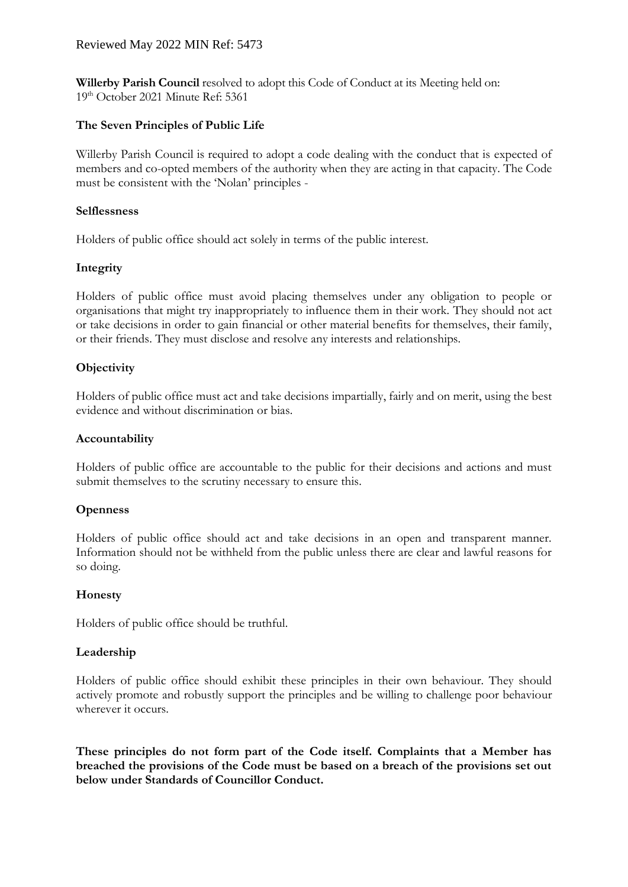### Reviewed May 2022 MIN Ref: 5473

**Willerby Parish Council** resolved to adopt this Code of Conduct at its Meeting held on: 19th October 2021 Minute Ref: 5361

## **The Seven Principles of Public Life**

Willerby Parish Council is required to adopt a code dealing with the conduct that is expected of members and co-opted members of the authority when they are acting in that capacity. The Code must be consistent with the 'Nolan' principles -

### **Selflessness**

Holders of public office should act solely in terms of the public interest.

### **Integrity**

Holders of public office must avoid placing themselves under any obligation to people or organisations that might try inappropriately to influence them in their work. They should not act or take decisions in order to gain financial or other material benefits for themselves, their family, or their friends. They must disclose and resolve any interests and relationships.

### **Objectivity**

Holders of public office must act and take decisions impartially, fairly and on merit, using the best evidence and without discrimination or bias.

#### **Accountability**

Holders of public office are accountable to the public for their decisions and actions and must submit themselves to the scrutiny necessary to ensure this.

### **Openness**

Holders of public office should act and take decisions in an open and transparent manner. Information should not be withheld from the public unless there are clear and lawful reasons for so doing.

### **Honesty**

Holders of public office should be truthful.

### **Leadership**

Holders of public office should exhibit these principles in their own behaviour. They should actively promote and robustly support the principles and be willing to challenge poor behaviour wherever it occurs.

**These principles do not form part of the Code itself. Complaints that a Member has breached the provisions of the Code must be based on a breach of the provisions set out below under Standards of Councillor Conduct.**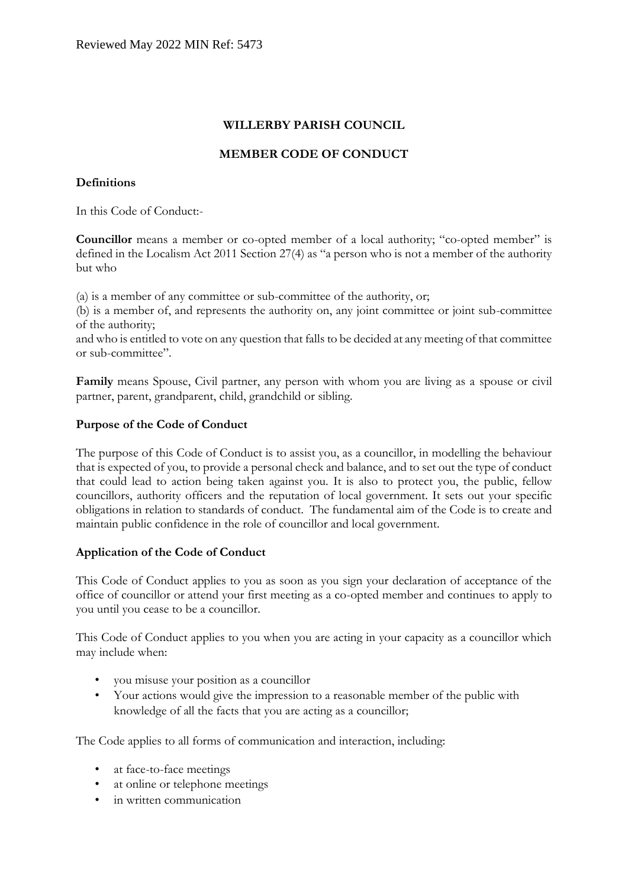# **WILLERBY PARISH COUNCIL**

# **MEMBER CODE OF CONDUCT**

## **Definitions**

In this Code of Conduct:-

**Councillor** means a member or co-opted member of a local authority; "co-opted member" is defined in the Localism Act 2011 Section 27(4) as "a person who is not a member of the authority but who

(a) is a member of any committee or sub-committee of the authority, or;

(b) is a member of, and represents the authority on, any joint committee or joint sub-committee of the authority;

and who is entitled to vote on any question that falls to be decided at any meeting of that committee or sub-committee".

**Family** means Spouse, Civil partner, any person with whom you are living as a spouse or civil partner, parent, grandparent, child, grandchild or sibling.

## **Purpose of the Code of Conduct**

The purpose of this Code of Conduct is to assist you, as a councillor, in modelling the behaviour that is expected of you, to provide a personal check and balance, and to set out the type of conduct that could lead to action being taken against you. It is also to protect you, the public, fellow councillors, authority officers and the reputation of local government. It sets out your specific obligations in relation to standards of conduct. The fundamental aim of the Code is to create and maintain public confidence in the role of councillor and local government.

# **Application of the Code of Conduct**

This Code of Conduct applies to you as soon as you sign your declaration of acceptance of the office of councillor or attend your first meeting as a co-opted member and continues to apply to you until you cease to be a councillor.

This Code of Conduct applies to you when you are acting in your capacity as a councillor which may include when:

- you misuse your position as a councillor
- Your actions would give the impression to a reasonable member of the public with knowledge of all the facts that you are acting as a councillor;

The Code applies to all forms of communication and interaction, including:

- at face-to-face meetings
- at online or telephone meetings
- in written communication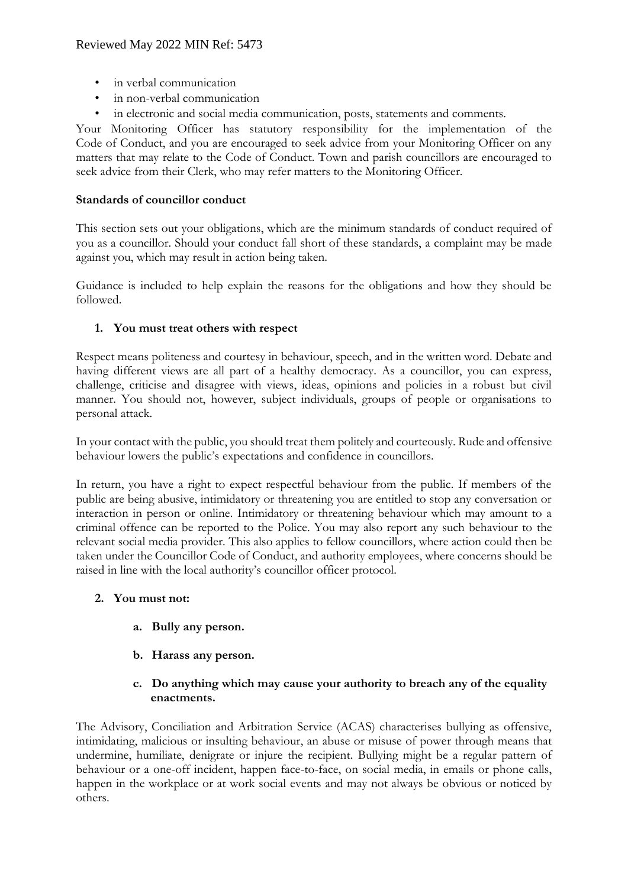- in verbal communication
- in non-verbal communication
- in electronic and social media communication, posts, statements and comments.

Your Monitoring Officer has statutory responsibility for the implementation of the Code of Conduct, and you are encouraged to seek advice from your Monitoring Officer on any matters that may relate to the Code of Conduct. Town and parish councillors are encouraged to seek advice from their Clerk, who may refer matters to the Monitoring Officer.

### **Standards of councillor conduct**

This section sets out your obligations, which are the minimum standards of conduct required of you as a councillor. Should your conduct fall short of these standards, a complaint may be made against you, which may result in action being taken.

Guidance is included to help explain the reasons for the obligations and how they should be followed.

## **1. You must treat others with respect**

Respect means politeness and courtesy in behaviour, speech, and in the written word. Debate and having different views are all part of a healthy democracy. As a councillor, you can express, challenge, criticise and disagree with views, ideas, opinions and policies in a robust but civil manner. You should not, however, subject individuals, groups of people or organisations to personal attack.

In your contact with the public, you should treat them politely and courteously. Rude and offensive behaviour lowers the public's expectations and confidence in councillors.

In return, you have a right to expect respectful behaviour from the public. If members of the public are being abusive, intimidatory or threatening you are entitled to stop any conversation or interaction in person or online. Intimidatory or threatening behaviour which may amount to a criminal offence can be reported to the Police. You may also report any such behaviour to the relevant social media provider. This also applies to fellow councillors, where action could then be taken under the Councillor Code of Conduct, and authority employees, where concerns should be raised in line with the local authority's councillor officer protocol.

### **2. You must not:**

- **a. Bully any person.**
- **b. Harass any person.**
- **c. Do anything which may cause your authority to breach any of the equality enactments.**

The Advisory, Conciliation and Arbitration Service (ACAS) characterises bullying as offensive, intimidating, malicious or insulting behaviour, an abuse or misuse of power through means that undermine, humiliate, denigrate or injure the recipient. Bullying might be a regular pattern of behaviour or a one-off incident, happen face-to-face, on social media, in emails or phone calls, happen in the workplace or at work social events and may not always be obvious or noticed by others.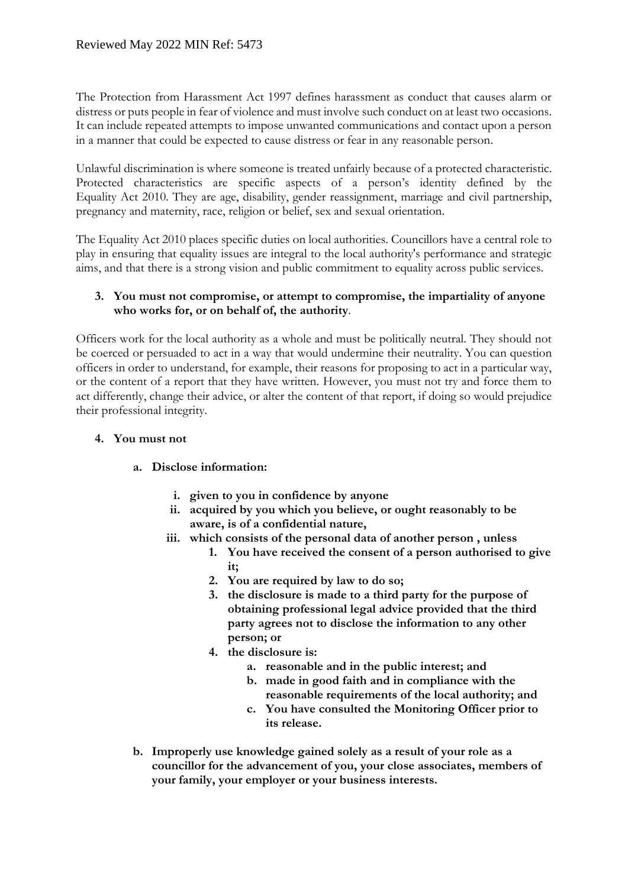The Protection from Harassment Act 1997 defines harassment as conduct that causes alarm or distress or puts people in fear of violence and must involve such conduct on at least two occasions. It can include repeated attempts to impose unwanted communications and contact upon a person in a manner that could be expected to cause distress or fear in any reasonable person.

Unlawful discrimination is where someone is treated unfairly because of a protected characteristic. Protected characteristics are specific aspects of a person's identity defined by the Equality Act 2010. They are age, disability, gender reassignment, marriage and civil partnership, pregnancy and maternity, race, religion or belief, sex and sexual orientation.

The Equality Act 2010 places specific duties on local authorities. Councillors have a central role to play in ensuring that equality issues are integral to the local authority's performance and strategic aims, and that there is a strong vision and public commitment to equality across public services.

### **3. You must not compromise, or attempt to compromise, the impartiality of anyone who works for, or on behalf of, the authority**.

Officers work for the local authority as a whole and must be politically neutral. They should not be coerced or persuaded to act in a way that would undermine their neutrality. You can question officers in order to understand, for example, their reasons for proposing to act in a particular way, or the content of a report that they have written. However, you must not try and force them to act differently, change their advice, or alter the content of that report, if doing so would prejudice their professional integrity.

# **4. You must not**

# **a. Disclose information:**

- **i. given to you in confidence by anyone**
- **ii. acquired by you which you believe, or ought reasonably to be aware, is of a confidential nature,**
- **iii. which consists of the personal data of another person , unless** 
	- **1. You have received the consent of a person authorised to give it;**
	- **2. You are required by law to do so;**
	- **3. the disclosure is made to a third party for the purpose of obtaining professional legal advice provided that the third party agrees not to disclose the information to any other person; or**
	- **4. the disclosure is:** 
		- **a. reasonable and in the public interest; and**
		- **b. made in good faith and in compliance with the reasonable requirements of the local authority; and**
		- **c. You have consulted the Monitoring Officer prior to its release.**
- **b. Improperly use knowledge gained solely as a result of your role as a councillor for the advancement of you, your close associates, members of your family, your employer or your business interests.**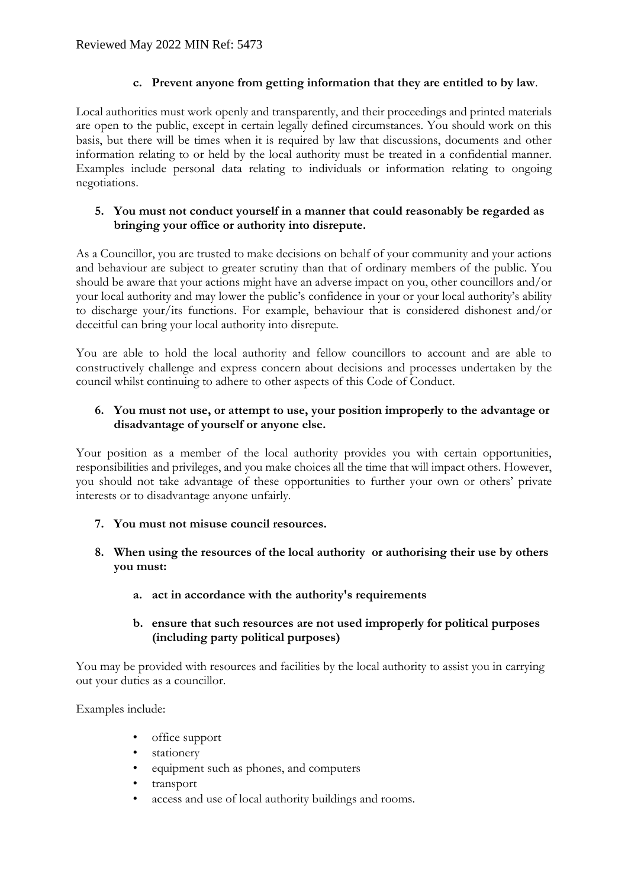# **c. Prevent anyone from getting information that they are entitled to by law**.

Local authorities must work openly and transparently, and their proceedings and printed materials are open to the public, except in certain legally defined circumstances. You should work on this basis, but there will be times when it is required by law that discussions, documents and other information relating to or held by the local authority must be treated in a confidential manner. Examples include personal data relating to individuals or information relating to ongoing negotiations.

# **5. You must not conduct yourself in a manner that could reasonably be regarded as bringing your office or authority into disrepute.**

As a Councillor, you are trusted to make decisions on behalf of your community and your actions and behaviour are subject to greater scrutiny than that of ordinary members of the public. You should be aware that your actions might have an adverse impact on you, other councillors and/or your local authority and may lower the public's confidence in your or your local authority's ability to discharge your/its functions. For example, behaviour that is considered dishonest and/or deceitful can bring your local authority into disrepute.

You are able to hold the local authority and fellow councillors to account and are able to constructively challenge and express concern about decisions and processes undertaken by the council whilst continuing to adhere to other aspects of this Code of Conduct.

# **6. You must not use, or attempt to use, your position improperly to the advantage or disadvantage of yourself or anyone else.**

Your position as a member of the local authority provides you with certain opportunities, responsibilities and privileges, and you make choices all the time that will impact others. However, you should not take advantage of these opportunities to further your own or others' private interests or to disadvantage anyone unfairly.

- **7. You must not misuse council resources.**
- **8. When using the resources of the local authority or authorising their use by others you must:** 
	- **a. act in accordance with the authority's requirements**

## **b. ensure that such resources are not used improperly for political purposes (including party political purposes)**

You may be provided with resources and facilities by the local authority to assist you in carrying out your duties as a councillor.

Examples include:

- office support
- stationery
- equipment such as phones, and computers
- transport
- access and use of local authority buildings and rooms.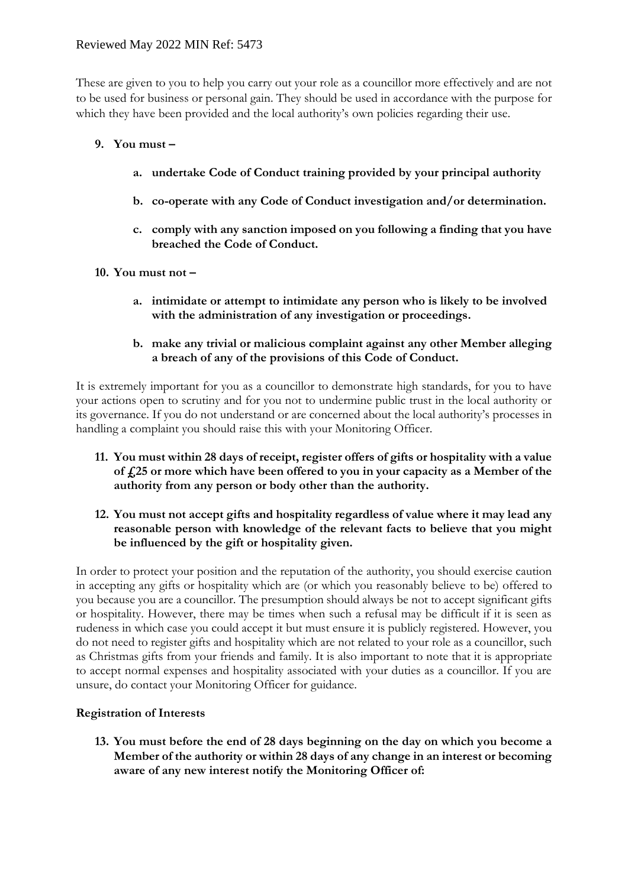# Reviewed May 2022 MIN Ref: 5473

These are given to you to help you carry out your role as a councillor more effectively and are not to be used for business or personal gain. They should be used in accordance with the purpose for which they have been provided and the local authority's own policies regarding their use.

## **9. You must –**

- **a. undertake Code of Conduct training provided by your principal authority**
- **b. co-operate with any Code of Conduct investigation and/or determination.**
- **c. comply with any sanction imposed on you following a finding that you have breached the Code of Conduct.**

### **10. You must not –**

- **a. intimidate or attempt to intimidate any person who is likely to be involved with the administration of any investigation or proceedings.**
- **b. make any trivial or malicious complaint against any other Member alleging a breach of any of the provisions of this Code of Conduct.**

It is extremely important for you as a councillor to demonstrate high standards, for you to have your actions open to scrutiny and for you not to undermine public trust in the local authority or its governance. If you do not understand or are concerned about the local authority's processes in handling a complaint you should raise this with your Monitoring Officer.

- **11. You must within 28 days of receipt, register offers of gifts or hospitality with a value of £25 or more which have been offered to you in your capacity as a Member of the authority from any person or body other than the authority.**
- **12. You must not accept gifts and hospitality regardless of value where it may lead any reasonable person with knowledge of the relevant facts to believe that you might be influenced by the gift or hospitality given.**

In order to protect your position and the reputation of the authority, you should exercise caution in accepting any gifts or hospitality which are (or which you reasonably believe to be) offered to you because you are a councillor. The presumption should always be not to accept significant gifts or hospitality. However, there may be times when such a refusal may be difficult if it is seen as rudeness in which case you could accept it but must ensure it is publicly registered. However, you do not need to register gifts and hospitality which are not related to your role as a councillor, such as Christmas gifts from your friends and family. It is also important to note that it is appropriate to accept normal expenses and hospitality associated with your duties as a councillor. If you are unsure, do contact your Monitoring Officer for guidance.

# **Registration of Interests**

**13. You must before the end of 28 days beginning on the day on which you become a Member of the authority or within 28 days of any change in an interest or becoming aware of any new interest notify the Monitoring Officer of:**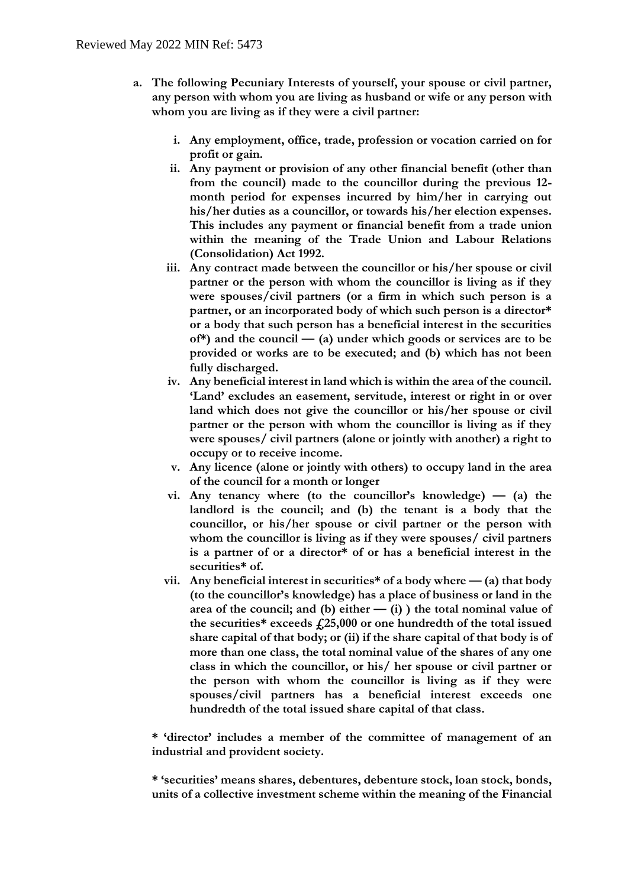- **a. The following Pecuniary Interests of yourself, your spouse or civil partner, any person with whom you are living as husband or wife or any person with whom you are living as if they were a civil partner:**
	- **i. Any employment, office, trade, profession or vocation carried on for profit or gain.**
	- **ii. Any payment or provision of any other financial benefit (other than from the council) made to the councillor during the previous 12 month period for expenses incurred by him/her in carrying out his/her duties as a councillor, or towards his/her election expenses. This includes any payment or financial benefit from a trade union within the meaning of the Trade Union and Labour Relations (Consolidation) Act 1992.**
	- **iii. Any contract made between the councillor or his/her spouse or civil partner or the person with whom the councillor is living as if they were spouses/civil partners (or a firm in which such person is a partner, or an incorporated body of which such person is a director\* or a body that such person has a beneficial interest in the securities of\*) and the council — (a) under which goods or services are to be provided or works are to be executed; and (b) which has not been fully discharged.**
	- **iv. Any beneficial interest in land which is within the area of the council. 'Land' excludes an easement, servitude, interest or right in or over land which does not give the councillor or his/her spouse or civil partner or the person with whom the councillor is living as if they were spouses/ civil partners (alone or jointly with another) a right to occupy or to receive income.**
	- **v. Any licence (alone or jointly with others) to occupy land in the area of the council for a month or longer**
	- **vi. Any tenancy where (to the councillor's knowledge) — (a) the landlord is the council; and (b) the tenant is a body that the councillor, or his/her spouse or civil partner or the person with whom the councillor is living as if they were spouses/ civil partners is a partner of or a director\* of or has a beneficial interest in the securities\* of.**
	- **vii.** Any beneficial interest in securities\* of a body where  $-$  (a) that body **(to the councillor's knowledge) has a place of business or land in the area of the council; and (b) either — (i) ) the total nominal value of the securities\* exceeds £25,000 or one hundredth of the total issued share capital of that body; or (ii) if the share capital of that body is of more than one class, the total nominal value of the shares of any one class in which the councillor, or his/ her spouse or civil partner or the person with whom the councillor is living as if they were spouses/civil partners has a beneficial interest exceeds one hundredth of the total issued share capital of that class.**

**\* 'director' includes a member of the committee of management of an industrial and provident society.** 

**\* 'securities' means shares, debentures, debenture stock, loan stock, bonds, units of a collective investment scheme within the meaning of the Financial**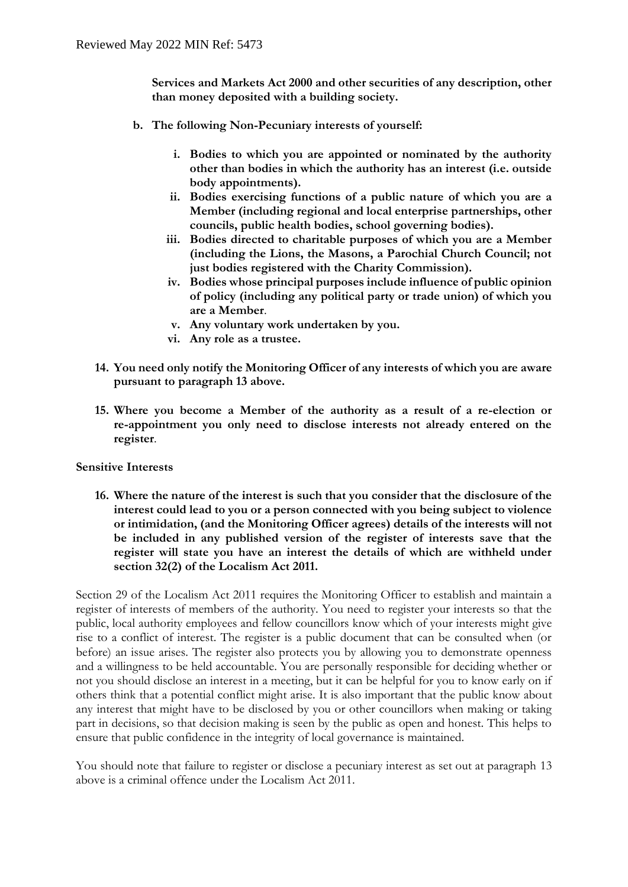**Services and Markets Act 2000 and other securities of any description, other than money deposited with a building society.** 

- **b. The following Non-Pecuniary interests of yourself:**
	- **i. Bodies to which you are appointed or nominated by the authority other than bodies in which the authority has an interest (i.e. outside body appointments).**
	- **ii. Bodies exercising functions of a public nature of which you are a Member (including regional and local enterprise partnerships, other councils, public health bodies, school governing bodies).**
	- **iii. Bodies directed to charitable purposes of which you are a Member (including the Lions, the Masons, a Parochial Church Council; not just bodies registered with the Charity Commission).**
	- **iv. Bodies whose principal purposes include influence of public opinion of policy (including any political party or trade union) of which you are a Member**.
	- **v. Any voluntary work undertaken by you.**
	- **vi. Any role as a trustee.**
- **14. You need only notify the Monitoring Officer of any interests of which you are aware pursuant to paragraph 13 above.**
- **15. Where you become a Member of the authority as a result of a re-election or re-appointment you only need to disclose interests not already entered on the register**.

### **Sensitive Interests**

**16. Where the nature of the interest is such that you consider that the disclosure of the interest could lead to you or a person connected with you being subject to violence or intimidation, (and the Monitoring Officer agrees) details of the interests will not be included in any published version of the register of interests save that the register will state you have an interest the details of which are withheld under section 32(2) of the Localism Act 2011.**

Section 29 of the Localism Act 2011 requires the Monitoring Officer to establish and maintain a register of interests of members of the authority. You need to register your interests so that the public, local authority employees and fellow councillors know which of your interests might give rise to a conflict of interest. The register is a public document that can be consulted when (or before) an issue arises. The register also protects you by allowing you to demonstrate openness and a willingness to be held accountable. You are personally responsible for deciding whether or not you should disclose an interest in a meeting, but it can be helpful for you to know early on if others think that a potential conflict might arise. It is also important that the public know about any interest that might have to be disclosed by you or other councillors when making or taking part in decisions, so that decision making is seen by the public as open and honest. This helps to ensure that public confidence in the integrity of local governance is maintained.

You should note that failure to register or disclose a pecuniary interest as set out at paragraph 13 above is a criminal offence under the Localism Act 2011.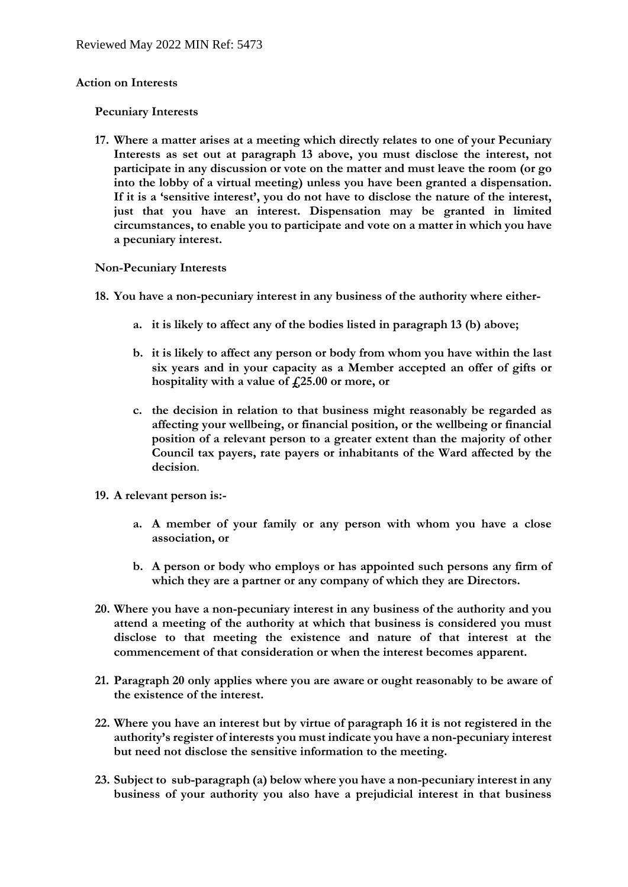#### **Action on Interests**

#### **Pecuniary Interests**

**17. Where a matter arises at a meeting which directly relates to one of your Pecuniary Interests as set out at paragraph 13 above, you must disclose the interest, not participate in any discussion or vote on the matter and must leave the room (or go into the lobby of a virtual meeting) unless you have been granted a dispensation. If it is a 'sensitive interest', you do not have to disclose the nature of the interest, just that you have an interest. Dispensation may be granted in limited circumstances, to enable you to participate and vote on a matter in which you have a pecuniary interest.** 

#### **Non-Pecuniary Interests**

- **18. You have a non-pecuniary interest in any business of the authority where either**
	- **a. it is likely to affect any of the bodies listed in paragraph 13 (b) above;**
	- **b. it is likely to affect any person or body from whom you have within the last six years and in your capacity as a Member accepted an offer of gifts or hospitality with a value of £25.00 or more, or**
	- **c. the decision in relation to that business might reasonably be regarded as affecting your wellbeing, or financial position, or the wellbeing or financial position of a relevant person to a greater extent than the majority of other Council tax payers, rate payers or inhabitants of the Ward affected by the decision**.
- **19. A relevant person is:**
	- **a. A member of your family or any person with whom you have a close association, or**
	- **b. A person or body who employs or has appointed such persons any firm of which they are a partner or any company of which they are Directors.**
- **20. Where you have a non-pecuniary interest in any business of the authority and you attend a meeting of the authority at which that business is considered you must disclose to that meeting the existence and nature of that interest at the commencement of that consideration or when the interest becomes apparent.**
- **21. Paragraph 20 only applies where you are aware or ought reasonably to be aware of the existence of the interest.**
- **22. Where you have an interest but by virtue of paragraph 16 it is not registered in the authority's register of interests you must indicate you have a non-pecuniary interest but need not disclose the sensitive information to the meeting.**
- **23. Subject to sub-paragraph (a) below where you have a non-pecuniary interest in any business of your authority you also have a prejudicial interest in that business**